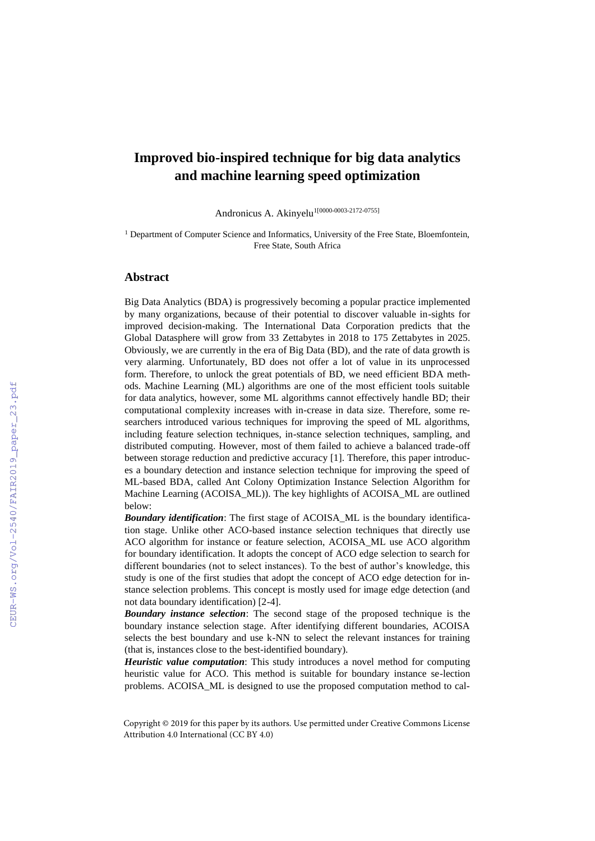## **Improved bio-inspired technique for big data analytics and machine learning speed optimization**

Andronicus A. Akinyelu<sup>1[0000-0003-2172-0755]</sup>

<sup>1</sup> Department of Computer Science and Informatics, University of the Free State, Bloemfontein, Free State, South Africa

## **Abstract**

Big Data Analytics (BDA) is progressively becoming a popular practice implemented by many organizations, because of their potential to discover valuable in-sights for improved decision-making. The International Data Corporation predicts that the Global Datasphere will grow from 33 Zettabytes in 2018 to 175 Zettabytes in 2025. Obviously, we are currently in the era of Big Data (BD), and the rate of data growth is very alarming. Unfortunately, BD does not offer a lot of value in its unprocessed form. Therefore, to unlock the great potentials of BD, we need efficient BDA methods. Machine Learning (ML) algorithms are one of the most efficient tools suitable for data analytics, however, some ML algorithms cannot effectively handle BD; their computational complexity increases with in-crease in data size. Therefore, some researchers introduced various techniques for improving the speed of ML algorithms, including feature selection techniques, in-stance selection techniques, sampling, and distributed computing. However, most of them failed to achieve a balanced trade-off between storage reduction and predictive accuracy [1]. Therefore, this paper introduces a boundary detection and instance selection technique for improving the speed of ML-based BDA, called Ant Colony Optimization Instance Selection Algorithm for Machine Learning (ACOISA\_ML)). The key highlights of ACOISA\_ML are outlined below:

*Boundary identification*: The first stage of ACOISA\_ML is the boundary identification stage. Unlike other ACO-based instance selection techniques that directly use ACO algorithm for instance or feature selection, ACOISA\_ML use ACO algorithm for boundary identification. It adopts the concept of ACO edge selection to search for different boundaries (not to select instances). To the best of author's knowledge, this study is one of the first studies that adopt the concept of ACO edge detection for instance selection problems. This concept is mostly used for image edge detection (and not data boundary identification) [2-4].

*Boundary instance selection*: The second stage of the proposed technique is the boundary instance selection stage. After identifying different boundaries, ACOISA selects the best boundary and use k-NN to select the relevant instances for training (that is, instances close to the best-identified boundary).

*Heuristic value computation*: This study introduces a novel method for computing heuristic value for ACO. This method is suitable for boundary instance se-lection problems. ACOISA\_ML is designed to use the proposed computation method to cal-

Copyright © 2019 for this paper by its authors. Use permitted under Creative Commons License Attribution 4.0 International (CC BY 4.0)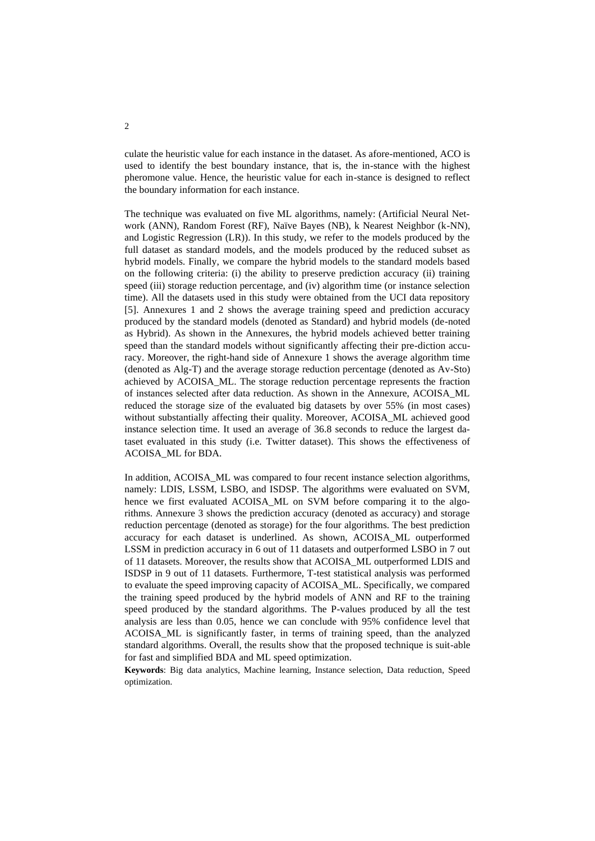culate the heuristic value for each instance in the dataset. As afore-mentioned, ACO is used to identify the best boundary instance, that is, the in-stance with the highest pheromone value. Hence, the heuristic value for each in-stance is designed to reflect the boundary information for each instance.

The technique was evaluated on five ML algorithms, namely: (Artificial Neural Network (ANN), Random Forest (RF), Naïve Bayes (NB), k Nearest Neighbor (k-NN), and Logistic Regression (LR)). In this study, we refer to the models produced by the full dataset as standard models, and the models produced by the reduced subset as hybrid models. Finally, we compare the hybrid models to the standard models based on the following criteria: (i) the ability to preserve prediction accuracy (ii) training speed (iii) storage reduction percentage, and (iv) algorithm time (or instance selection time). All the datasets used in this study were obtained from the UCI data repository [5]. Annexures 1 and 2 shows the average training speed and prediction accuracy produced by the standard models (denoted as Standard) and hybrid models (de-noted as Hybrid). As shown in the Annexures, the hybrid models achieved better training speed than the standard models without significantly affecting their pre-diction accuracy. Moreover, the right-hand side of Annexure 1 shows the average algorithm time (denoted as Alg-T) and the average storage reduction percentage (denoted as Av-Sto) achieved by ACOISA\_ML. The storage reduction percentage represents the fraction of instances selected after data reduction. As shown in the Annexure, ACOISA\_ML reduced the storage size of the evaluated big datasets by over 55% (in most cases) without substantially affecting their quality. Moreover, ACOISA\_ML achieved good instance selection time. It used an average of 36.8 seconds to reduce the largest dataset evaluated in this study (i.e. Twitter dataset). This shows the effectiveness of ACOISA\_ML for BDA.

In addition, ACOISA\_ML was compared to four recent instance selection algorithms, namely: LDIS, LSSM, LSBO, and ISDSP. The algorithms were evaluated on SVM, hence we first evaluated ACOISA ML on SVM before comparing it to the algorithms. Annexure 3 shows the prediction accuracy (denoted as accuracy) and storage reduction percentage (denoted as storage) for the four algorithms. The best prediction accuracy for each dataset is underlined. As shown, ACOISA\_ML outperformed LSSM in prediction accuracy in 6 out of 11 datasets and outperformed LSBO in 7 out of 11 datasets. Moreover, the results show that ACOISA\_ML outperformed LDIS and ISDSP in 9 out of 11 datasets. Furthermore, T-test statistical analysis was performed to evaluate the speed improving capacity of ACOISA\_ML. Specifically, we compared the training speed produced by the hybrid models of ANN and RF to the training speed produced by the standard algorithms. The P-values produced by all the test analysis are less than 0.05, hence we can conclude with 95% confidence level that ACOISA\_ML is significantly faster, in terms of training speed, than the analyzed standard algorithms. Overall, the results show that the proposed technique is suit-able for fast and simplified BDA and ML speed optimization.

**Keywords**: Big data analytics, Machine learning, Instance selection, Data reduction, Speed optimization.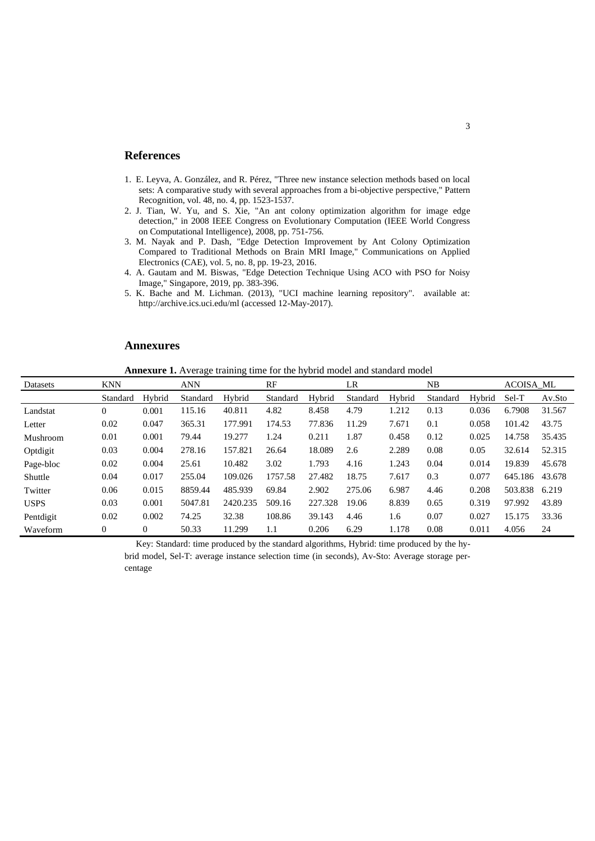## **References**

- 1. E. Leyva, A. González, and R. Pérez, "Three new instance selection methods based on local sets: A comparative study with several approaches from a bi-objective perspective," Pattern Recognition, vol. 48, no. 4, pp. 1523-1537.
- 2. J. Tian, W. Yu, and S. Xie, "An ant colony optimization algorithm for image edge detection," in 2008 IEEE Congress on Evolutionary Computation (IEEE World Congress on Computational Intelligence), 2008, pp. 751-756.
- 3. M. Nayak and P. Dash, "Edge Detection Improvement by Ant Colony Optimization Compared to Traditional Methods on Brain MRI Image," Communications on Applied Electronics (CAE), vol. 5, no. 8, pp. 19-23, 2016.
- 4. A. Gautam and M. Biswas, "Edge Detection Technique Using ACO with PSO for Noisy Image," Singapore, 2019, pp. 383-396.
- 5. K. Bache and M. Lichman. (2013), "UCI machine learning repository". available at: http://archive.ics.uci.edu/ml (accessed 12-May-2017).

## **Annexures**

**Annexure 1.** Average training time for the hybrid model and standard model

| Datasets    | <b>KNN</b>     |          | <b>ANN</b> |          | RF       |         | LR       |        | NB       |        | <b>ACOISA_ML</b> |        |
|-------------|----------------|----------|------------|----------|----------|---------|----------|--------|----------|--------|------------------|--------|
|             | Standard       | Hybrid   | Standard   | Hybrid   | Standard | Hybrid  | Standard | Hybrid | Standard | Hybrid | Sel-T            | Av.Sto |
| Landstat    | $\overline{0}$ | 0.001    | 115.16     | 40.811   | 4.82     | 8.458   | 4.79     | 1.212  | 0.13     | 0.036  | 6.7908           | 31.567 |
| Letter      | 0.02           | 0.047    | 365.31     | 177.991  | 174.53   | 77.836  | 11.29    | 7.671  | 0.1      | 0.058  | 101.42           | 43.75  |
| Mushroom    | 0.01           | 0.001    | 79.44      | 19.277   | 1.24     | 0.211   | 1.87     | 0.458  | 0.12     | 0.025  | 14.758           | 35.435 |
| Optdigit    | 0.03           | 0.004    | 278.16     | 157.821  | 26.64    | 18.089  | 2.6      | 2.289  | 0.08     | 0.05   | 32.614           | 52.315 |
| Page-bloc   | 0.02           | 0.004    | 25.61      | 10.482   | 3.02     | 1.793   | 4.16     | 1.243  | 0.04     | 0.014  | 19.839           | 45.678 |
| Shuttle     | 0.04           | 0.017    | 255.04     | 109.026  | 1757.58  | 27.482  | 18.75    | 7.617  | 0.3      | 0.077  | 645.186          | 43.678 |
| Twitter     | 0.06           | 0.015    | 8859.44    | 485.939  | 69.84    | 2.902   | 275.06   | 6.987  | 4.46     | 0.208  | 503.838          | 6.219  |
| <b>USPS</b> | 0.03           | 0.001    | 5047.81    | 2420.235 | 509.16   | 227.328 | 19.06    | 8.839  | 0.65     | 0.319  | 97.992           | 43.89  |
| Pentdigit   | 0.02           | 0.002    | 74.25      | 32.38    | 108.86   | 39.143  | 4.46     | 1.6    | 0.07     | 0.027  | 15.175           | 33.36  |
| Waveform    | $\Omega$       | $\Omega$ | 50.33      | 11.299   | 1.1      | 0.206   | 6.29     | 1.178  | 0.08     | 0.011  | 4.056            | 24     |

Key: Standard: time produced by the standard algorithms, Hybrid: time produced by the hy-

brid model, Sel-T: average instance selection time (in seconds), Av-Sto: Average storage percentage